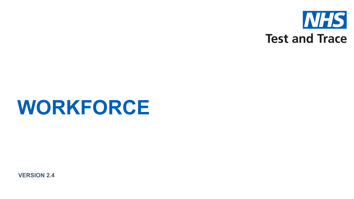

# **WORKFORCE**

**VERSION 2.4**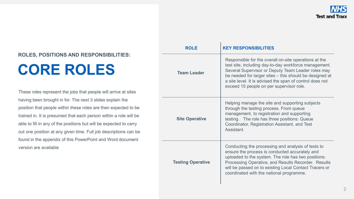## **CORE ROLES**

These roles represent the jobs that people will arrive at sites having been brought in for. The next 3 slides explain the position that people within these roles are then expected to be trained in. It is presumed that each person within a role will be able to fill in any of the positions but will be expected to carry out one position at any given time. Full job descriptions can be found in the appendix of this PowerPoint and Word document version are available

| <b>ROLE</b>                                                                                                                                                                                                                                                                                                                                          | <b>KEY RESPONSIBILITIES</b>                                                                                                                                                                                                                                                                                                             |  |
|------------------------------------------------------------------------------------------------------------------------------------------------------------------------------------------------------------------------------------------------------------------------------------------------------------------------------------------------------|-----------------------------------------------------------------------------------------------------------------------------------------------------------------------------------------------------------------------------------------------------------------------------------------------------------------------------------------|--|
| <b>Team Leader</b>                                                                                                                                                                                                                                                                                                                                   | Responsible for the overall on-site operations at the<br>test site, including day-to-day workforce management.<br>Several Supervisor or Deputy Team Leader roles may<br>be needed for larger sites - this should be designed at<br>a site level. It is advised the span of control does not<br>exceed 15 people on per supervisor role. |  |
| <b>Site Operative</b>                                                                                                                                                                                                                                                                                                                                | Helping manage the site and supporting subjects<br>through the testing process. From queue<br>management, to registration and supporting<br>testing. The role has three positions: Queue<br>Coordinator, Registration Assistant, and Test<br>Assistant.                                                                                 |  |
| Conducting the processing and analysis of tests to<br>ensure the process is conducted accurately and<br>uploaded to the system. The role has two positions:<br><b>Testing Operative</b><br>Processing Operative, and Results Recorder. Results<br>will be passed on to existing Local Contact Tracers or<br>coordinated with the national programme. |                                                                                                                                                                                                                                                                                                                                         |  |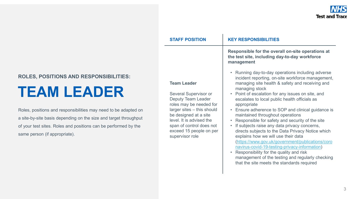|               | <b>STAFF POSITION</b>                                                                                                                                                                                                                                            | <b>KEY RESPONSIBILITIES</b>                                                                                                                                                                                                                                                                                                                                                                                                                                                                                                                                                                                                                                                                                                                                                                                                                 |
|---------------|------------------------------------------------------------------------------------------------------------------------------------------------------------------------------------------------------------------------------------------------------------------|---------------------------------------------------------------------------------------------------------------------------------------------------------------------------------------------------------------------------------------------------------------------------------------------------------------------------------------------------------------------------------------------------------------------------------------------------------------------------------------------------------------------------------------------------------------------------------------------------------------------------------------------------------------------------------------------------------------------------------------------------------------------------------------------------------------------------------------------|
|               |                                                                                                                                                                                                                                                                  | Responsible for the overall on-site operations at<br>the test site, including day-to-day workforce<br>management                                                                                                                                                                                                                                                                                                                                                                                                                                                                                                                                                                                                                                                                                                                            |
| วท<br>ut<br>Э | <b>Team Leader</b><br>Several Supervisor or<br><b>Deputy Team Leader</b><br>roles may be needed for<br>larger sites - this should<br>be designed at a site<br>level. It is advised the<br>span of control does not<br>exceed 15 people on per<br>supervisor role | • Running day-to-day operations including adverse<br>incident reporting, on-site workforce management,<br>managing site health & safety and receiving and<br>managing stock<br>• Point of escalation for any issues on site, and<br>escalates to local public health officials as<br>appropriate<br>• Ensure adherence to SOP and clinical guidance is<br>maintained throughout operations<br>Responsible for safety and security of the site<br>If subjects raise any data privacy concerns,<br>directs subjects to the Data Privacy Notice which<br>explains how we will use their data<br>(https://www.gov.uk/government/publications/coro<br>navirus-covid-19-testing-privacy-information)<br>Responsibility for the quality and risk<br>management of the testing and regularly checking<br>that the site meets the standards required |

### **TEAM LEADER**

Roles, positions and responsibilities may need to be adapted on a site-by-site basis depending on the size and target throughput of your test sites. Roles and positions can be performed by the same person (if appropriate).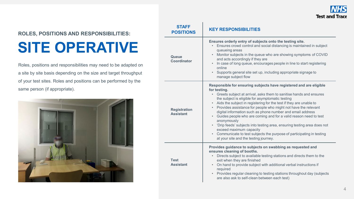

### **SITE OPERATIVE**

Roles, positions and responsibilities may need to be adapted on a site by site basis depending on the size and target throughput of your test sites. Roles and positions can be performed by the same person (if appropriate).



| <b>STAFF</b><br><b>POSITIONS</b>        | <b>KEY RESPONSIBILITIES</b>                                                                                                                                                                                                                                                                                                                                                                                                                                                                                                                                                                                                                                                                                                              |  |
|-----------------------------------------|------------------------------------------------------------------------------------------------------------------------------------------------------------------------------------------------------------------------------------------------------------------------------------------------------------------------------------------------------------------------------------------------------------------------------------------------------------------------------------------------------------------------------------------------------------------------------------------------------------------------------------------------------------------------------------------------------------------------------------------|--|
| Queue<br>Coordinator                    | Ensures orderly entry of subjects onto the testing site.<br>Ensures crowd control and social distancing is maintained in subject<br>queueing areas<br>Monitor subjects in the queue who are showing symptoms of COVID<br>and acts accordingly if they are<br>In case of long queue, encourages people in line to start registering<br>$\bullet$<br>online<br>• Supports general site set up, including appropriate signage to<br>manage subject flow                                                                                                                                                                                                                                                                                     |  |
| <b>Registration</b><br><b>Assistant</b> | Responsible for ensuring subjects have registered and are eligible<br>for testing.<br>• Greets subject at arrival, asks them to sanitise hands and ensures<br>the subject is eligible for asymptomatic testing<br>• Aids the subject in registering for the test if they are unable to<br>• Provides assistance for people who might not have the relevant<br>digital information such as phone number and email address<br>• Guides people who are coming and for a valid reason need to test<br>anonymously<br>• 'Drip feeds' subjects into testing area, ensuring testing area does not<br>exceed maximum capacity<br>• Communicate to test subjects the purpose of participating in testing<br>at your site and the testing journey. |  |
| <b>Test</b><br><b>Assistant</b>         | Provides guidance to subjects on swabbing as requested and<br>ensures cleaning of booths.<br>Directs subject to available testing stations and directs them to the<br>$\bullet$<br>exit when they are finished<br>On hand to provide subject with additional verbal instructions if<br>$\bullet$ .<br>required<br>• Provides regular cleaning to testing stations throughout day (subjects<br>are also ask to self-clean between each test)                                                                                                                                                                                                                                                                                              |  |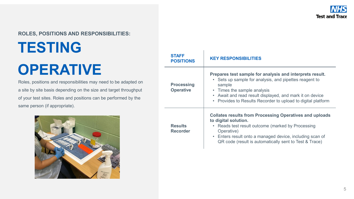# **TESTING OPERATIVE**

Roles, positions and responsibilities may need to be adapted on a site by site basis depending on the size and target throughput of your test sites. Roles and positions can be performed by the same person (if appropriate).



| <b>STAFF</b><br><b>POSITIONS</b>      | <b>KEY RESPONSIBILITIES</b>                                                                                                                                                                                                                                                                        |  |
|---------------------------------------|----------------------------------------------------------------------------------------------------------------------------------------------------------------------------------------------------------------------------------------------------------------------------------------------------|--|
| <b>Processing</b><br><b>Operative</b> | Prepares test sample for analysis and interprets result.<br>Sets up sample for analysis, and pipettes reagent to<br>$\bullet$<br>sample<br>• Times the sample analysis<br>• Await and read result displayed, and mark it on device<br>• Provides to Results Recorder to upload to digital platform |  |
| <b>Results</b><br><b>Recorder</b>     | <b>Collates results from Processing Operatives and uploads</b><br>to digital solution.<br>Reads test result outcome (marked by Processing<br>$\bullet$<br>Operative)<br>• Enters result onto a managed device, including scan of<br>QR code (result is automatically sent to Test & Trace)         |  |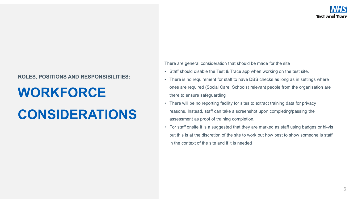### **WORKFORCE**

## **CONSIDERATIONS**

There are general consideration that should be made for the site

- Staff should disable the Test & Trace app when working on the test site.
- There is no requirement for staff to have DBS checks as long as in settings where ones are required (Social Care, Schools) relevant people from the organisation are there to ensure safeguarding
- There will be no reporting facility for sites to extract training data for privacy reasons. Instead, staff can take a screenshot upon completing/passing the assessment as proof of training completion.
- For staff onsite it is a suggested that they are marked as staff using badges or hi-vis but this is at the discretion of the site to work out how best to show someone is staff in the context of the site and if it is needed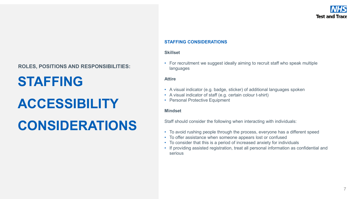### **STAFFING**

### **ACCESSIBILITY**

## **CONSIDERATIONS**

#### **STAFFING CONSIDERATIONS**

#### **Skillset**

• For recruitment we suggest ideally aiming to recruit staff who speak multiple languages

#### **Attire**

- A visual indicator (e.g. badge, sticker) of additional languages spoken
- A visual indicator of staff (e.g. certain colour t-shirt)
- Personal Protective Equipment

#### **Mindset**

Staff should consider the following when interacting with individuals:

- To avoid rushing people through the process, everyone has a different speed
- To offer assistance when someone appears lost or confused
- To consider that this is a period of increased anxiety for individuals
- If providing assisted registration, treat all personal information as confidential and serious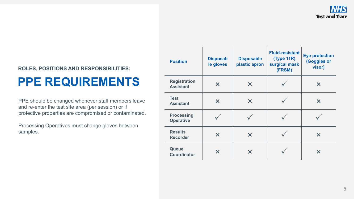### **PPE REQUIREMENTS**

PPE should be changed whenever staff members leave and re-enter the test site area (per session) or if protective properties are compromised or contaminated.

Processing Operatives must change gloves between samples.

| <b>Position</b>                         | <b>Disposab</b><br>le gloves | <b>Disposable</b><br>plastic apron | <b>Fluid-resistant</b><br><b>(Type 11R)</b><br>surgical mask<br>(FRSM) | <b>Eye protection</b><br>(Goggles or<br>visor) |
|-----------------------------------------|------------------------------|------------------------------------|------------------------------------------------------------------------|------------------------------------------------|
| <b>Registration</b><br><b>Assistant</b> | $\boldsymbol{\mathsf{X}}$    | $\bm{\times}$                      |                                                                        | $\bm{\mathsf{x}}$                              |
| <b>Test</b><br><b>Assistant</b>         | X                            | X                                  |                                                                        | X                                              |
| <b>Processing</b><br><b>Operative</b>   |                              |                                    |                                                                        |                                                |
| <b>Results</b><br><b>Recorder</b>       | X                            | X                                  |                                                                        | $\bm{x}$                                       |
| <b>Queue</b><br><b>Coordinator</b>      | X                            | X                                  |                                                                        | X                                              |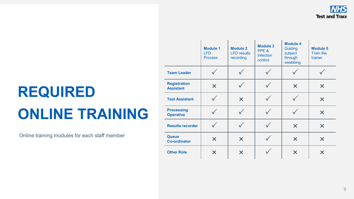# **REQUIRED ONLINE TRAINING**

Online training modules for each staff member

|                                         | <b>Module 1</b><br><b>LFD</b><br><b>Process</b> | <b>Module 2</b><br><b>LFD</b> results<br>recording | <b>Module 3</b><br>PPE &<br><b>Infection</b><br>control | <b>Module 4</b><br>Guiding<br>subject<br>through<br>swabbing | <b>Module 5</b><br><b>Train the</b><br>trainer |
|-----------------------------------------|-------------------------------------------------|----------------------------------------------------|---------------------------------------------------------|--------------------------------------------------------------|------------------------------------------------|
| <b>Team Leader</b>                      |                                                 |                                                    |                                                         |                                                              |                                                |
| <b>Registration</b><br><b>Assistant</b> | ×                                               |                                                    |                                                         | ×                                                            | $\bm{\times}$                                  |
| <b>Test Assistant</b>                   |                                                 | $\boldsymbol{\mathsf{x}}$                          |                                                         |                                                              | $\bm{\times}$                                  |
| <b>Processing</b><br><b>Operative</b>   |                                                 |                                                    |                                                         |                                                              | $\bm{\times}$                                  |
| <b>Results recorder</b>                 |                                                 |                                                    |                                                         | $\boldsymbol{\mathsf{x}}$                                    | $\boldsymbol{\mathsf{X}}$                      |
| <b>Queue</b><br><b>Co-ordinator</b>     | $\bm{\times}$                                   | $\boldsymbol{\mathsf{X}}$                          |                                                         | $\bm{x}$                                                     | $\boldsymbol{\mathsf{x}}$                      |
| <b>Other Role</b>                       | $\bm{\times}$                                   | $\boldsymbol{\mathsf{X}}$                          |                                                         | $\bm{x}$                                                     | $\bm{\times}$                                  |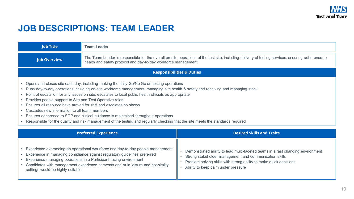### **JOB DESCRIPTIONS: TEAM LEADER**

| <b>Job Title</b>                                                                                                                                                                                                                                                                                                                                                                                                                                                                                                                                                                                                                                                                                                                                    | <b>Team Leader</b>                                                                                                                                                                                                                                                                                                      |                                                                                                                                                                                                                                                        |  |  |
|-----------------------------------------------------------------------------------------------------------------------------------------------------------------------------------------------------------------------------------------------------------------------------------------------------------------------------------------------------------------------------------------------------------------------------------------------------------------------------------------------------------------------------------------------------------------------------------------------------------------------------------------------------------------------------------------------------------------------------------------------------|-------------------------------------------------------------------------------------------------------------------------------------------------------------------------------------------------------------------------------------------------------------------------------------------------------------------------|--------------------------------------------------------------------------------------------------------------------------------------------------------------------------------------------------------------------------------------------------------|--|--|
| <b>Job Overview</b>                                                                                                                                                                                                                                                                                                                                                                                                                                                                                                                                                                                                                                                                                                                                 | The Team Leader is responsible for the overall on-site operations of the test site, including delivery of testing services, ensuring adherence to<br>health and safety protocol and day-to-day workforce management.                                                                                                    |                                                                                                                                                                                                                                                        |  |  |
| <b>Responsibilities &amp; Duties</b>                                                                                                                                                                                                                                                                                                                                                                                                                                                                                                                                                                                                                                                                                                                |                                                                                                                                                                                                                                                                                                                         |                                                                                                                                                                                                                                                        |  |  |
| Opens and closes site each day, including making the daily Go/No Go on testing operations<br>Runs day-to-day operations including on-site workforce management, managing site health & safety and receiving and managing stock<br>Point of escalation for any issues on site, escalates to local public health officials as appropriate<br>Provides people support to Site and Test Operative roles<br>Ensures all resource have arrived for shift and escalates no shows<br>Cascades new information to all team members<br>Ensures adherence to SOP and clinical guidance is maintained throughout operations<br>Responsible for the quality and risk management of the testing and regularly checking that the site meets the standards required |                                                                                                                                                                                                                                                                                                                         |                                                                                                                                                                                                                                                        |  |  |
| <b>Preferred Experience</b>                                                                                                                                                                                                                                                                                                                                                                                                                                                                                                                                                                                                                                                                                                                         |                                                                                                                                                                                                                                                                                                                         | <b>Desired Skills and Traits</b>                                                                                                                                                                                                                       |  |  |
| settings would be highly suitable                                                                                                                                                                                                                                                                                                                                                                                                                                                                                                                                                                                                                                                                                                                   | Experience overseeing an operational workforce and day-to-day people management<br>Experience in managing compliance against regulatory guidelines preferred<br>Experience managing operations in a Participant facing environment<br>Candidates with management experience at events and or in leisure and hospitality | Demonstrated ability to lead multi-faceted teams in a fast changing environment<br>Strong stakeholder management and communication skills<br>Problem solving skills with strong ability to make quick decisions<br>Ability to keep calm under pressure |  |  |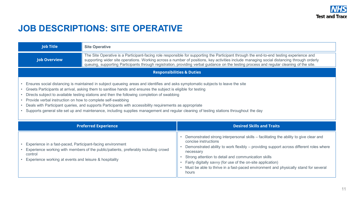### **JOB DESCRIPTIONS: SITE OPERATIVE**

| <b>Job Title</b>                                                                                                                                                                                                                                                                                                                                                                                                                                                                                                                                                                                                                                                       | <b>Site Operative</b>                                                                                                                                                                                                                                                                                                                                                                                                              |                                                                                                                                                                                                                                                                                                                                                                                                                                            |  |
|------------------------------------------------------------------------------------------------------------------------------------------------------------------------------------------------------------------------------------------------------------------------------------------------------------------------------------------------------------------------------------------------------------------------------------------------------------------------------------------------------------------------------------------------------------------------------------------------------------------------------------------------------------------------|------------------------------------------------------------------------------------------------------------------------------------------------------------------------------------------------------------------------------------------------------------------------------------------------------------------------------------------------------------------------------------------------------------------------------------|--------------------------------------------------------------------------------------------------------------------------------------------------------------------------------------------------------------------------------------------------------------------------------------------------------------------------------------------------------------------------------------------------------------------------------------------|--|
| <b>Job Overview</b>                                                                                                                                                                                                                                                                                                                                                                                                                                                                                                                                                                                                                                                    | The Site Operative is a Participant-facing role responsible for supporting the Participant through the end-to-end testing experience and<br>supporting wider site operations. Working across a number of positions, key activities include managing social distancing through orderly<br>queuing, supporting Participants through registration, providing verbal guidance on the testing process and regular cleaning of the site. |                                                                                                                                                                                                                                                                                                                                                                                                                                            |  |
| <b>Responsibilities &amp; Duties</b>                                                                                                                                                                                                                                                                                                                                                                                                                                                                                                                                                                                                                                   |                                                                                                                                                                                                                                                                                                                                                                                                                                    |                                                                                                                                                                                                                                                                                                                                                                                                                                            |  |
| Ensures social distancing is maintained in subject queueing areas and identifies and asks symptomatic subjects to leave the site<br>Greets Participants at arrival, asking them to sanitise hands and ensures the subject is eligible for testing<br>Directs subject to available testing stations and then the following completion of swabbing<br>Provide verbal instruction on how to complete self-swabbing<br>Deals with Participant queries, and supports Participants with accessibility requirements as appropriate<br>Supports general site set up and maintenance, including supplies management and regular cleaning of testing stations throughout the day |                                                                                                                                                                                                                                                                                                                                                                                                                                    |                                                                                                                                                                                                                                                                                                                                                                                                                                            |  |
| <b>Preferred Experience</b>                                                                                                                                                                                                                                                                                                                                                                                                                                                                                                                                                                                                                                            |                                                                                                                                                                                                                                                                                                                                                                                                                                    | <b>Desired Skills and Traits</b>                                                                                                                                                                                                                                                                                                                                                                                                           |  |
| Experience in a fast-paced, Participant-facing environment<br>control<br>Experience working at events and leisure & hospitality                                                                                                                                                                                                                                                                                                                                                                                                                                                                                                                                        | Experience working with members of the public/patients, preferably including crowd                                                                                                                                                                                                                                                                                                                                                 | Demonstrated strong interpersonal skills – facilitating the ability to give clear and<br>concise instructions<br>Demonstrated ability to work flexibly - providing support across different roles where<br>necessary<br>Strong attention to detail and communication skills<br>Fairly digitally savvy (for use of the on-site application)<br>Must be able to thrive in a fast-paced environment and physically stand for several<br>hours |  |